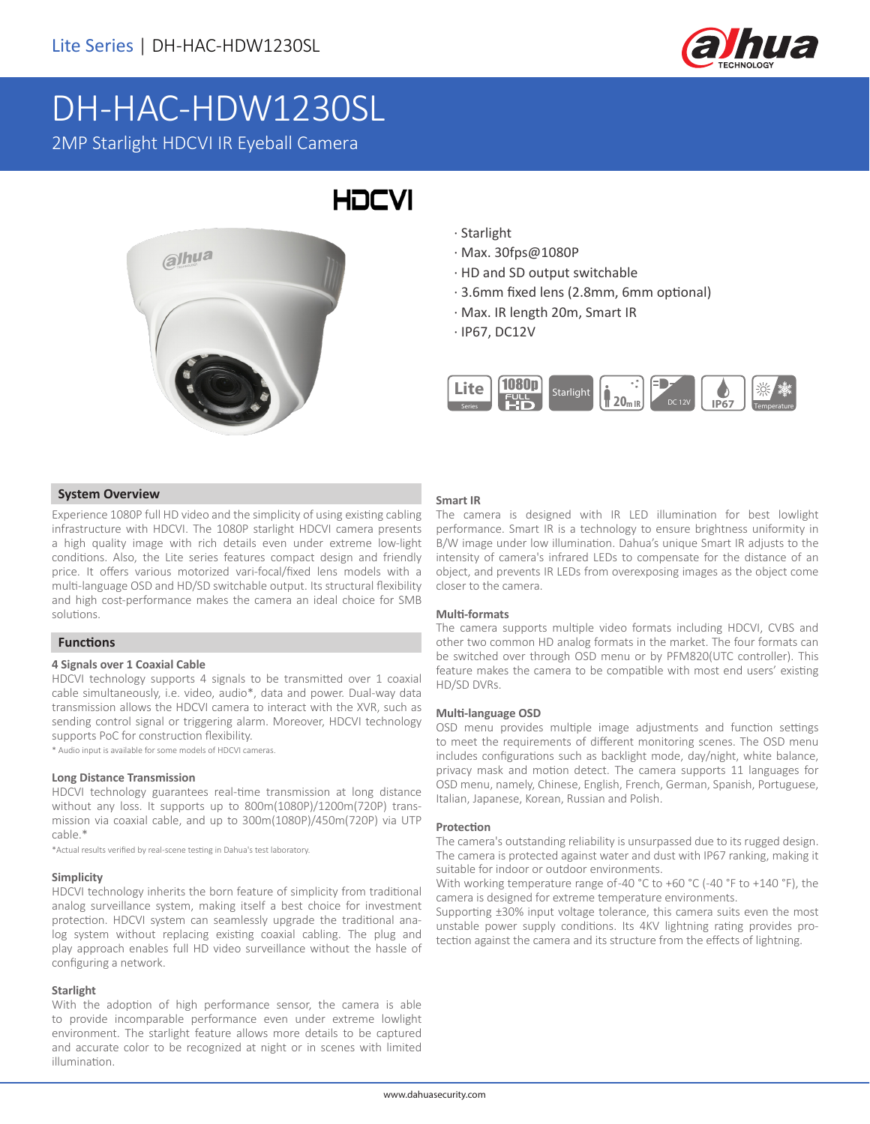

## DH-HAC-HDW1230SL 2MP Starlight HDCVI IR Eyeball Camera



- · Starlight
- · Max. 30fps@1080P
- · HD and SD output switchable
- · 3.6mm fixed lens (2.8mm, 6mm optional)
- · Max. IR length 20m, Smart IR
- · IP67, DC12V



### **System Overview**

Experience 1080P full HD video and the simplicity of using existing cabling infrastructure with HDCVI. The 1080P starlight HDCVI camera presents a high quality image with rich details even under extreme low-light conditions. Also, the Lite series features compact design and friendly price. It offers various motorized vari-focal/fixed lens models with a multi-language OSD and HD/SD switchable output. Its structural flexibility and high cost-performance makes the camera an ideal choice for SMB solutions.

### **Functions**

### **4 Signals over 1 Coaxial Cable**

HDCVI technology supports 4 signals to be transmitted over 1 coaxial cable simultaneously, i.e. video, audio\*, data and power. Dual-way data transmission allows the HDCVI camera to interact with the XVR, such as sending control signal or triggering alarm. Moreover, HDCVI technology supports PoC for construction flexibility.

\* Audio input is available for some models of HDCVI cameras.

### **Long Distance Transmission**

HDCVI technology guarantees real-time transmission at long distance without any loss. It supports up to 800m(1080P)/1200m(720P) transmission via coaxial cable, and up to 300m(1080P)/450m(720P) via UTP cable.\*

\*Actual results verified by real-scene testing in Dahua's test laboratory.

### **Simplicity**

HDCVI technology inherits the born feature of simplicity from traditional analog surveillance system, making itself a best choice for investment protection. HDCVI system can seamlessly upgrade the traditional analog system without replacing existing coaxial cabling. The plug and play approach enables full HD video surveillance without the hassle of configuring a network.

### **Starlight**

With the adoption of high performance sensor, the camera is able to provide incomparable performance even under extreme lowlight environment. The starlight feature allows more details to be captured and accurate color to be recognized at night or in scenes with limited illumination.

### **Smart IR**

The camera is designed with IR LED illumination for best lowlight performance. Smart IR is a technology to ensure brightness uniformity in B/W image under low illumination. Dahua's unique Smart IR adjusts to the intensity of camera's infrared LEDs to compensate for the distance of an object, and prevents IR LEDs from overexposing images as the object come closer to the camera.

### **Multi-formats**

The camera supports multiple video formats including HDCVI, CVBS and other two common HD analog formats in the market. The four formats can be switched over through OSD menu or by PFM820(UTC controller). This feature makes the camera to be compatible with most end users' existing HD/SD DVRs.

#### **Multi-language OSD**

OSD menu provides multiple image adjustments and function settings to meet the requirements of different monitoring scenes. The OSD menu includes configurations such as backlight mode, day/night, white balance, privacy mask and motion detect. The camera supports 11 languages for OSD menu, namely, Chinese, English, French, German, Spanish, Portuguese, Italian, Japanese, Korean, Russian and Polish.

#### **Protection**

The camera's outstanding reliability is unsurpassed due to its rugged design. The camera is protected against water and dust with IP67 ranking, making it suitable for indoor or outdoor environments.

With working temperature range of-40 °C to +60 °C (-40 °F to +140 °F), the camera is designed for extreme temperature environments.

Supporting ±30% input voltage tolerance, this camera suits even the most unstable power supply conditions. Its 4KV lightning rating provides protection against the camera and its structure from the effects of lightning.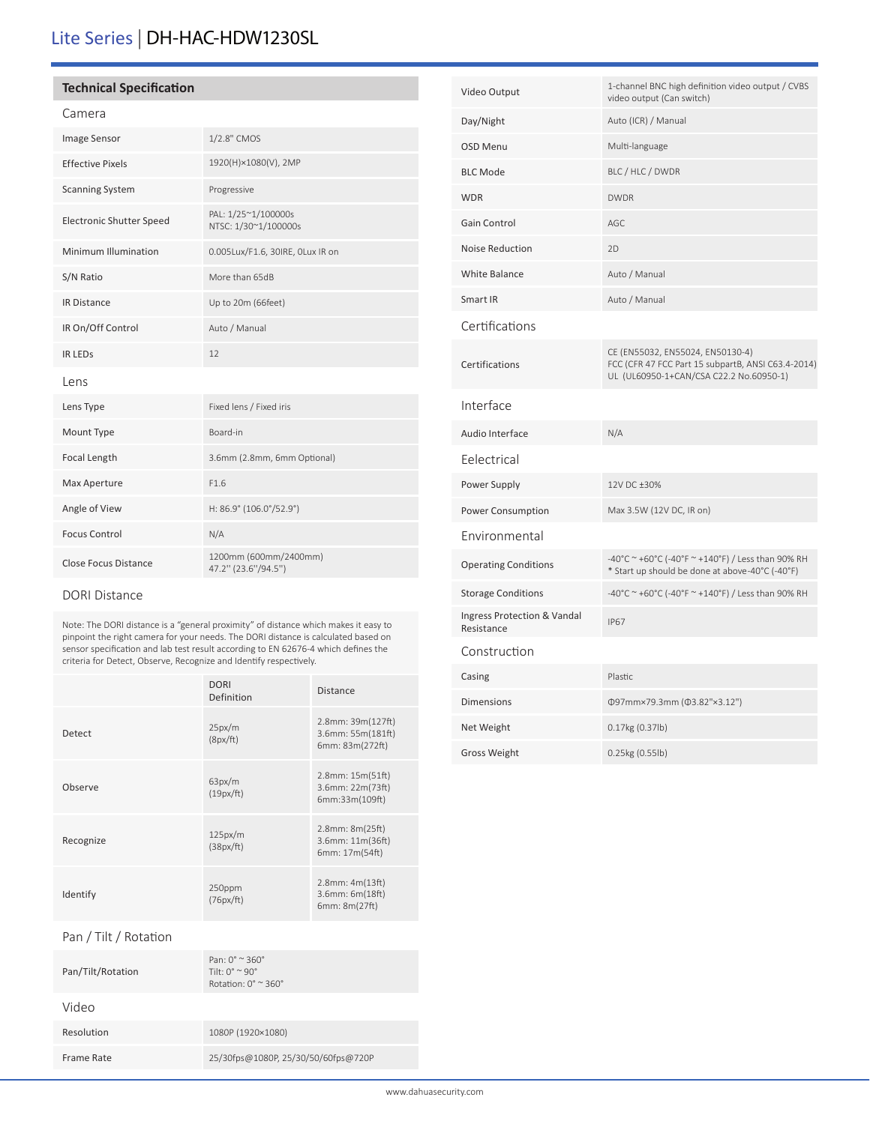### Lite Series | DH-HAC-HDW1230SL

### **Technical Specification**

### Camera

| Image Sensor                    | 1/2.8" CMOS                                  |
|---------------------------------|----------------------------------------------|
| <b>Effective Pixels</b>         | 1920(H)×1080(V), 2MP                         |
| <b>Scanning System</b>          | Progressive                                  |
| <b>Electronic Shutter Speed</b> | PAL: 1/25~1/100000s<br>NTSC: 1/30~1/100000s  |
| Minimum Illumination            | 0.005Lux/F1.6, 30IRE, OLux IR on             |
| S/N Ratio                       | More than 65dB                               |
| <b>IR Distance</b>              | Up to 20m (66feet)                           |
| IR On/Off Control               | Auto / Manual                                |
| <b>IR LEDS</b>                  | 12                                           |
| Lens                            |                                              |
| Lens Type                       | Fixed lens / Fixed iris                      |
| Mount Type                      | Board-in                                     |
| Focal Length                    | 3.6mm (2.8mm, 6mm Optional)                  |
| Max Aperture                    | F1.6                                         |
| Angle of View                   | H: 86.9° (106.0°/52.9°)                      |
| <b>Focus Control</b>            | N/A                                          |
| <b>Close Focus Distance</b>     | 1200mm (600mm/2400mm)<br>47.2" (23.6"/94.5") |

### DORI Distance

Note: The DORI distance is a "general proximity" of distance which makes it easy to pinpoint the right camera for your needs. The DORI distance is calculated based on sensor specification and lab test result according to EN 62676-4 which defines the criteria for Detect, Observe, Recognize and Identify respectively.

|           | <b>DORI</b><br>Definition | <b>Distance</b>                                                 |
|-----------|---------------------------|-----------------------------------------------------------------|
| Detect    | 25px/m<br>(8px/ft)        | 2.8mm: 39m(127ft)<br>3.6mm: 55m(181ft)<br>6mm: 83m(272ft)       |
| Observe   | 63px/m<br>(19px/ft)       | $2.8$ mm: $15m(51ft)$<br>3.6mm: 22m(73ft)<br>6mm:33m(109ft)     |
| Recognize | 125px/m<br>(38px/ft)      | $2.8$ mm: $8m(25ft)$<br>$3.6$ mm: $11m(36ft)$<br>6mm: 17m(54ft) |
| Identify  | 250ppm<br>(76px/ft)       | $2.8$ mm: $4m(13ft)$<br>3.6mm: 6m(18ft)<br>6mm: 8m(27ft)        |

### Pan / Tilt / Rotation

| Pan/Tilt/Rotation | Pan: $0^{\circ} \approx 360^{\circ}$<br>Tilt: $0^{\circ} \approx 90^{\circ}$<br>Rotation: $0^\circ \approx 360^\circ$ |
|-------------------|-----------------------------------------------------------------------------------------------------------------------|
| Video             |                                                                                                                       |
| Resolution        | 1080P (1920×1080)                                                                                                     |
| Frame Rate        | 25/30fps@1080P, 25/30/50/60fps@720P                                                                                   |

| Video Output                              | 1-channel BNC high definition video output / CVBS<br>video output (Can switch)                                                    |
|-------------------------------------------|-----------------------------------------------------------------------------------------------------------------------------------|
| Day/Night                                 | Auto (ICR) / Manual                                                                                                               |
| <b>OSD Menu</b>                           | Multi-language                                                                                                                    |
| <b>BLC Mode</b>                           | BLC / HLC / DWDR                                                                                                                  |
| <b>WDR</b>                                | <b>DWDR</b>                                                                                                                       |
| Gain Control                              | AGC                                                                                                                               |
| <b>Noise Reduction</b>                    | 2D                                                                                                                                |
| White Balance                             | Auto / Manual                                                                                                                     |
| Smart IR                                  | Auto / Manual                                                                                                                     |
| Certifications                            |                                                                                                                                   |
| Certifications                            | CE (EN55032, EN55024, EN50130-4)<br>FCC (CFR 47 FCC Part 15 subpartB, ANSI C63.4-2014)<br>UL (UL60950-1+CAN/CSA C22.2 No.60950-1) |
| Interface                                 |                                                                                                                                   |
| Audio Interface                           | N/A                                                                                                                               |
| Eelectrical                               |                                                                                                                                   |
| Power Supply                              | 12V DC ±30%                                                                                                                       |
| Power Consumption                         | Max 3.5W (12V DC, IR on)                                                                                                          |
| Environmental                             |                                                                                                                                   |
| <b>Operating Conditions</b>               | -40°C ~ +60°C (-40°F ~ +140°F) / Less than 90% RH<br>* Start up should be done at above-40°C (-40°F)                              |
| <b>Storage Conditions</b>                 | -40°C ~ +60°C (-40°F ~ +140°F) / Less than 90% RH                                                                                 |
| Ingress Protection & Vandal<br>Resistance | <b>IP67</b>                                                                                                                       |
| Construction                              |                                                                                                                                   |
| Casing                                    | Plastic                                                                                                                           |
| Dimensions                                | Φ97mm×79.3mm (Φ3.82"×3.12")                                                                                                       |
| Net Weight                                | 0.17kg (0.37lb)                                                                                                                   |
| <b>Gross Weight</b>                       | 0.25kg (0.55lb)                                                                                                                   |